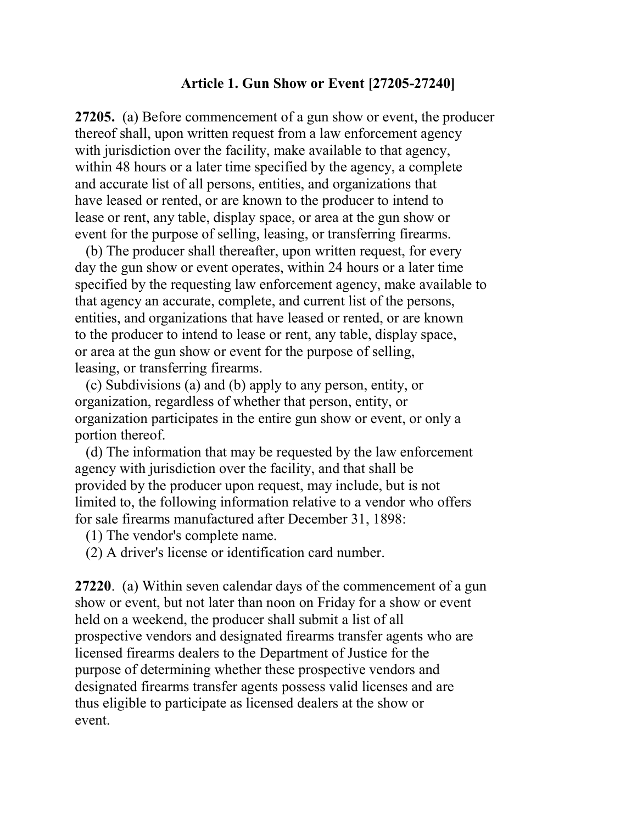## Article 1. Gun Show or Event [27205-27240]

27205. (a) Before commencement of a gun show or event, the producer thereof shall, upon written request from a law enforcement agency with jurisdiction over the facility, make available to that agency, within 48 hours or a later time specified by the agency, a complete and accurate list of all persons, entities, and organizations that have leased or rented, or are known to the producer to intend to lease or rent, any table, display space, or area at the gun show or event for the purpose of selling, leasing, or transferring firearms.

 (b) The producer shall thereafter, upon written request, for every day the gun show or event operates, within 24 hours or a later time specified by the requesting law enforcement agency, make available to that agency an accurate, complete, and current list of the persons, entities, and organizations that have leased or rented, or are known to the producer to intend to lease or rent, any table, display space, or area at the gun show or event for the purpose of selling, leasing, or transferring firearms.

 (c) Subdivisions (a) and (b) apply to any person, entity, or organization, regardless of whether that person, entity, or organization participates in the entire gun show or event, or only a portion thereof.

 (d) The information that may be requested by the law enforcement agency with jurisdiction over the facility, and that shall be provided by the producer upon request, may include, but is not limited to, the following information relative to a vendor who offers for sale firearms manufactured after December 31, 1898:

(1) The vendor's complete name.

(2) A driver's license or identification card number.

27220. (a) Within seven calendar days of the commencement of a gun show or event, but not later than noon on Friday for a show or event held on a weekend, the producer shall submit a list of all prospective vendors and designated firearms transfer agents who are licensed firearms dealers to the Department of Justice for the purpose of determining whether these prospective vendors and designated firearms transfer agents possess valid licenses and are thus eligible to participate as licensed dealers at the show or event.